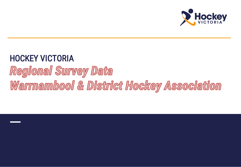

## *HOCKEY VICTORIA*Regional Survey Data Warrnambool & District Hockey Association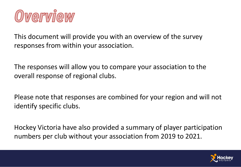

This document will provide you with an overview of the survey responses from within your association.

The responses will allow you to compare your association to the overall response of regional clubs.

Please note that responses are combined for your region and will not identify specific clubs.

Hockey Victoria have also provided a summary of player participation numbers per club without your association from 2019 to 2021.

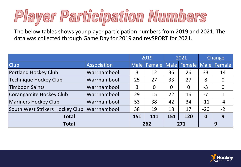## Player Participation Numbers

The below tables shows your player participation numbers from 2019 and 2021. The data was collected through Game Day for 2019 and revSPORT for 2021.

|                                 |                    | 2019        |             | 2021     |                    | Change   |                |
|---------------------------------|--------------------|-------------|-------------|----------|--------------------|----------|----------------|
| <b>Club</b>                     | Association        | <b>Male</b> | Female Male |          | Female Male Female |          |                |
| <b>Portland Hockey Club</b>     | Warrnambool        | 3           | 12          | 36       | 26                 | 33       | 14             |
| <b>Technique Hockey Club</b>    | Warrnambool        | 25          | 27          | 33       | 27                 | 8        | $\Omega$       |
| <b>Timboon Saints</b>           | Warrnambool        | 3           | $\Omega$    | $\Omega$ | $\overline{0}$     | $-3$     | $\overline{0}$ |
| Corangamite Hockey Club         | Warrnambool        | 29          | 15          | 22       | 16                 | $-7$     | $\mathbf{1}$   |
| <b>Mariners Hockey Club</b>     | Warrnambool        | 53          | 38          | 42       | 34                 | $-11$    | $-4$           |
| South West Strikers Hockey Club | <b>Warrnambool</b> | 38          | 19          | 18       | 17                 | $-20$    | $-2$           |
| <b>Total</b>                    |                    | 151         | 111         | 151      | 120                | $\bf{0}$ | 9              |
| <b>Total</b>                    |                    |             | 262         |          | 271                |          | 9              |

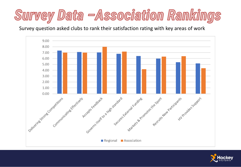

Survey question asked clubs to rank their satisfaction rating with key areas of work



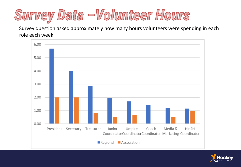## Survey Data -Volunteer Hours

Survey question asked approximately how many hours volunteers were spending in each role each week



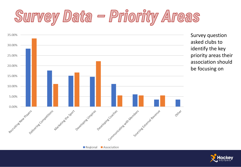## Survey Data - Priority Areas



Survey question asked clubs to identify the key priority areas their association should be focusing on

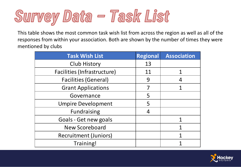

This table shows the most common task wish list from across the region as well as all of the responses from within your association. Both are shown by the number of times they were mentioned by clubs

| <b>Task Wish List</b>        | <b>Regional</b> | <b>Association</b> |
|------------------------------|-----------------|--------------------|
| Club History                 | 13              |                    |
| Facilities (Infrastructure)  | 11              |                    |
| <b>Facilities (General)</b>  | 9               |                    |
| <b>Grant Applications</b>    |                 |                    |
| Governance                   | 5               |                    |
| <b>Umpire Development</b>    | 5               |                    |
| <b>Fundraising</b>           | 4               |                    |
| Goals - Get new goals        |                 |                    |
| <b>New Scoreboard</b>        |                 |                    |
| <b>Recruitment (Juniors)</b> |                 |                    |
| Training!                    |                 |                    |

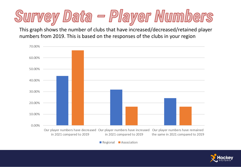

This graph shows the number of clubs that have increased/decreased/retained player numbers from 2019. This is based on the responses of the clubs in your region



Regional Association

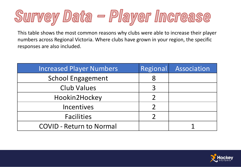

This table shows the most common reasons why clubs were able to increase their player numbers across Regional Victoria. Where clubs have grown in your region, the specific responses are also included.

| <b>Increased Player Numbers</b> | Regional | Association |
|---------------------------------|----------|-------------|
| <b>School Engagement</b>        | 8        |             |
| <b>Club Values</b>              |          |             |
| Hookin2Hockey                   |          |             |
| Incentives                      |          |             |
| <b>Facilities</b>               |          |             |
| <b>COVID - Return to Normal</b> |          |             |

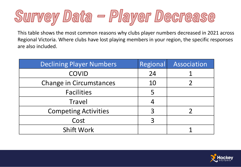

This table shows the most common reasons why clubs player numbers decreased in 2021 across Regional Victoria. Where clubs have lost playing members in your region, the specific responses are also included.

| <b>Declining Player Numbers</b> | <b>Regional</b> | Association |
|---------------------------------|-----------------|-------------|
| <b>COVID</b>                    | 24              |             |
| Change in Circumstances         | 10              |             |
| <b>Facilities</b>               |                 |             |
| Travel                          |                 |             |
| <b>Competing Activities</b>     |                 |             |
| Cost                            |                 |             |
| <b>Shift Work</b>               |                 |             |

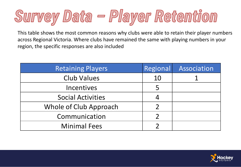

This table shows the most common reasons why clubs were able to retain their player numbers across Regional Victoria. Where clubs have remained the same with playing numbers in your region, the specific responses are also included

| <b>Retaining Players</b> | Regional | Association |
|--------------------------|----------|-------------|
| <b>Club Values</b>       | 10       |             |
| <b>Incentives</b>        |          |             |
| <b>Social Activities</b> |          |             |
| Whole of Club Approach   |          |             |
| Communication            |          |             |
| <b>Minimal Fees</b>      |          |             |